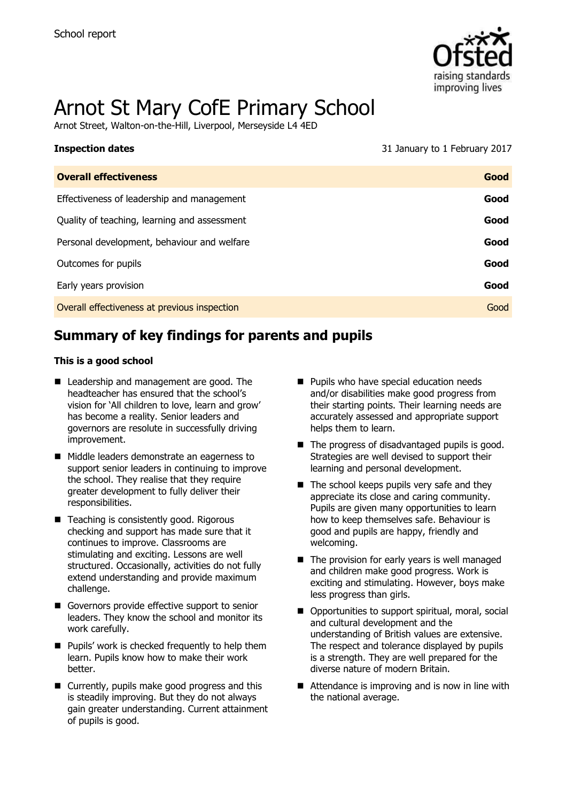

# Arnot St Mary CofE Primary School

Arnot Street, Walton-on-the-Hill, Liverpool, Merseyside L4 4ED

| <b>Inspection dates</b>                      | 31 January to 1 February 2017 |
|----------------------------------------------|-------------------------------|
| <b>Overall effectiveness</b>                 | Good                          |
| Effectiveness of leadership and management   | Good                          |
| Quality of teaching, learning and assessment | Good                          |
| Personal development, behaviour and welfare  | Good                          |
| Outcomes for pupils                          | Good                          |
| Early years provision                        | Good                          |
| Overall effectiveness at previous inspection | Good                          |

## **Summary of key findings for parents and pupils**

#### **This is a good school**

- Leadership and management are good. The headteacher has ensured that the school's vision for 'All children to love, learn and grow' has become a reality. Senior leaders and governors are resolute in successfully driving improvement.
- Middle leaders demonstrate an eagerness to support senior leaders in continuing to improve the school. They realise that they require greater development to fully deliver their responsibilities.
- Teaching is consistently good. Rigorous checking and support has made sure that it continues to improve. Classrooms are stimulating and exciting. Lessons are well structured. Occasionally, activities do not fully extend understanding and provide maximum challenge.
- Governors provide effective support to senior leaders. They know the school and monitor its work carefully.
- **Pupils' work is checked frequently to help them** learn. Pupils know how to make their work better.
- Currently, pupils make good progress and this is steadily improving. But they do not always gain greater understanding. Current attainment of pupils is good.
- **Pupils who have special education needs** and/or disabilities make good progress from their starting points. Their learning needs are accurately assessed and appropriate support helps them to learn.
- The progress of disadvantaged pupils is good. Strategies are well devised to support their learning and personal development.
- $\blacksquare$  The school keeps pupils very safe and they appreciate its close and caring community. Pupils are given many opportunities to learn how to keep themselves safe. Behaviour is good and pupils are happy, friendly and welcoming.
- $\blacksquare$  The provision for early years is well managed and children make good progress. Work is exciting and stimulating. However, boys make less progress than girls.
- Opportunities to support spiritual, moral, social and cultural development and the understanding of British values are extensive. The respect and tolerance displayed by pupils is a strength. They are well prepared for the diverse nature of modern Britain.
- Attendance is improving and is now in line with the national average.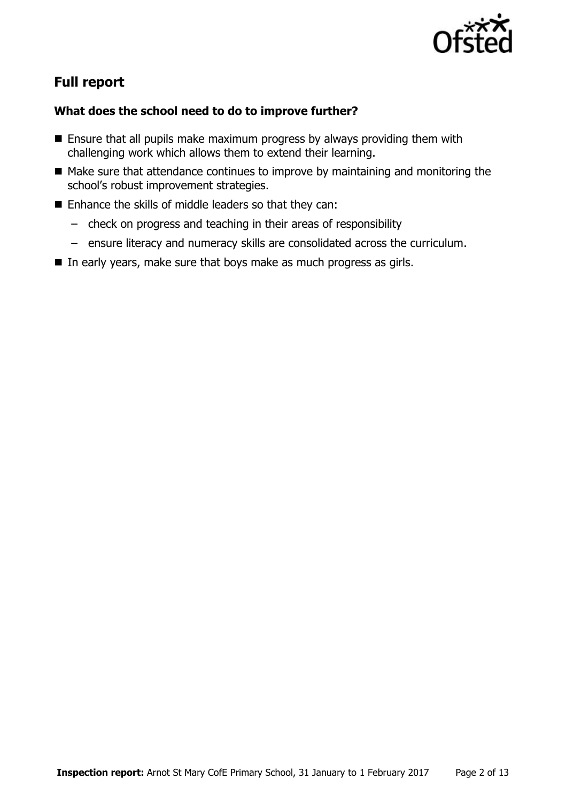

## **Full report**

### **What does the school need to do to improve further?**

- **Ensure that all pupils make maximum progress by always providing them with** challenging work which allows them to extend their learning.
- $\blacksquare$  Make sure that attendance continues to improve by maintaining and monitoring the school's robust improvement strategies.
- Enhance the skills of middle leaders so that they can:
	- check on progress and teaching in their areas of responsibility
	- ensure literacy and numeracy skills are consolidated across the curriculum.
- $\blacksquare$  In early years, make sure that boys make as much progress as girls.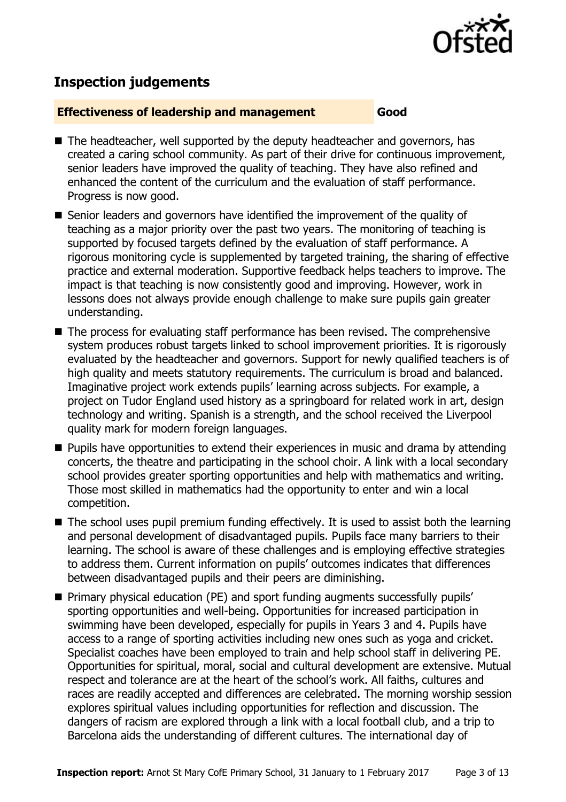

## **Inspection judgements**

#### **Effectiveness of leadership and management Good**

- The headteacher, well supported by the deputy headteacher and governors, has created a caring school community. As part of their drive for continuous improvement, senior leaders have improved the quality of teaching. They have also refined and enhanced the content of the curriculum and the evaluation of staff performance. Progress is now good.
- Senior leaders and governors have identified the improvement of the quality of teaching as a major priority over the past two years. The monitoring of teaching is supported by focused targets defined by the evaluation of staff performance. A rigorous monitoring cycle is supplemented by targeted training, the sharing of effective practice and external moderation. Supportive feedback helps teachers to improve. The impact is that teaching is now consistently good and improving. However, work in lessons does not always provide enough challenge to make sure pupils gain greater understanding.
- The process for evaluating staff performance has been revised. The comprehensive system produces robust targets linked to school improvement priorities. It is rigorously evaluated by the headteacher and governors. Support for newly qualified teachers is of high quality and meets statutory requirements. The curriculum is broad and balanced. Imaginative project work extends pupils' learning across subjects. For example, a project on Tudor England used history as a springboard for related work in art, design technology and writing. Spanish is a strength, and the school received the Liverpool quality mark for modern foreign languages.
- **Pupils have opportunities to extend their experiences in music and drama by attending** concerts, the theatre and participating in the school choir. A link with a local secondary school provides greater sporting opportunities and help with mathematics and writing. Those most skilled in mathematics had the opportunity to enter and win a local competition.
- The school uses pupil premium funding effectively. It is used to assist both the learning and personal development of disadvantaged pupils. Pupils face many barriers to their learning. The school is aware of these challenges and is employing effective strategies to address them. Current information on pupils' outcomes indicates that differences between disadvantaged pupils and their peers are diminishing.
- Primary physical education (PE) and sport funding augments successfully pupils' sporting opportunities and well-being. Opportunities for increased participation in swimming have been developed, especially for pupils in Years 3 and 4. Pupils have access to a range of sporting activities including new ones such as yoga and cricket. Specialist coaches have been employed to train and help school staff in delivering PE. Opportunities for spiritual, moral, social and cultural development are extensive. Mutual respect and tolerance are at the heart of the school's work. All faiths, cultures and races are readily accepted and differences are celebrated. The morning worship session explores spiritual values including opportunities for reflection and discussion. The dangers of racism are explored through a link with a local football club, and a trip to Barcelona aids the understanding of different cultures. The international day of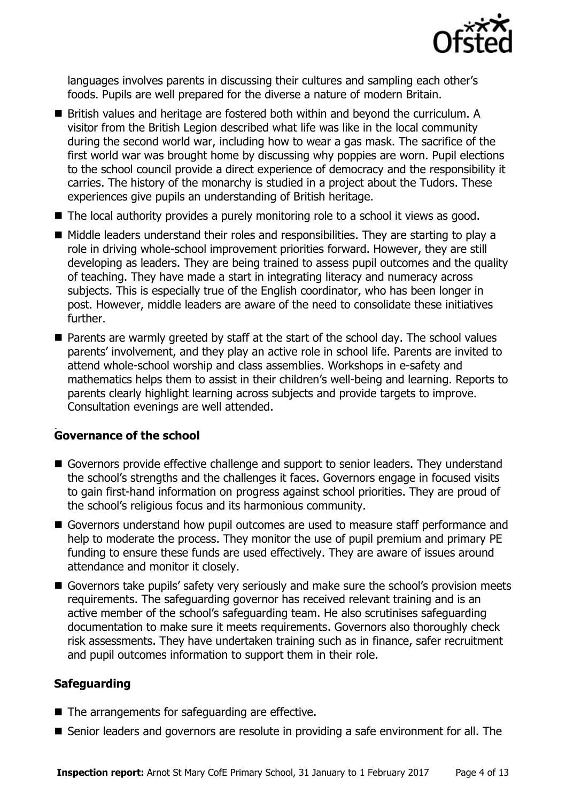

languages involves parents in discussing their cultures and sampling each other's foods. Pupils are well prepared for the diverse a nature of modern Britain.

- British values and heritage are fostered both within and beyond the curriculum. A visitor from the British Legion described what life was like in the local community during the second world war, including how to wear a gas mask. The sacrifice of the first world war was brought home by discussing why poppies are worn. Pupil elections to the school council provide a direct experience of democracy and the responsibility it carries. The history of the monarchy is studied in a project about the Tudors. These experiences give pupils an understanding of British heritage.
- The local authority provides a purely monitoring role to a school it views as good.
- Middle leaders understand their roles and responsibilities. They are starting to play a role in driving whole-school improvement priorities forward. However, they are still developing as leaders. They are being trained to assess pupil outcomes and the quality of teaching. They have made a start in integrating literacy and numeracy across subjects. This is especially true of the English coordinator, who has been longer in post. However, middle leaders are aware of the need to consolidate these initiatives further.
- **Parents are warmly greeted by staff at the start of the school day. The school values** parents' involvement, and they play an active role in school life. Parents are invited to attend whole-school worship and class assemblies. Workshops in e-safety and mathematics helps them to assist in their children's well-being and learning. Reports to parents clearly highlight learning across subjects and provide targets to improve. Consultation evenings are well attended.

#### . **Governance of the school**

- Governors provide effective challenge and support to senior leaders. They understand the school's strengths and the challenges it faces. Governors engage in focused visits to gain first-hand information on progress against school priorities. They are proud of the school's religious focus and its harmonious community.
- Governors understand how pupil outcomes are used to measure staff performance and help to moderate the process. They monitor the use of pupil premium and primary PE funding to ensure these funds are used effectively. They are aware of issues around attendance and monitor it closely.
- Governors take pupils' safety very seriously and make sure the school's provision meets requirements. The safeguarding governor has received relevant training and is an active member of the school's safeguarding team. He also scrutinises safeguarding documentation to make sure it meets requirements. Governors also thoroughly check risk assessments. They have undertaken training such as in finance, safer recruitment and pupil outcomes information to support them in their role.

#### **Safeguarding**

- The arrangements for safeguarding are effective.
- Senior leaders and governors are resolute in providing a safe environment for all. The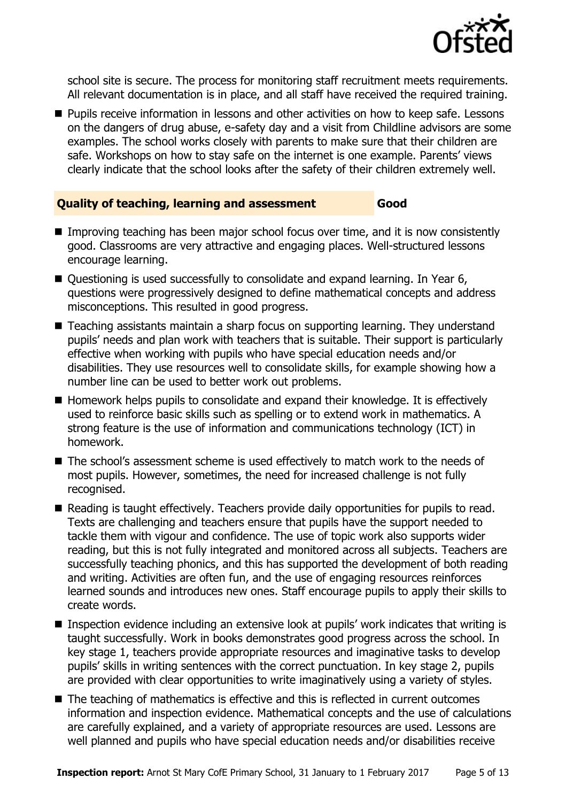

school site is secure. The process for monitoring staff recruitment meets requirements. All relevant documentation is in place, and all staff have received the required training.

**Pupils receive information in lessons and other activities on how to keep safe. Lessons** on the dangers of drug abuse, e-safety day and a visit from Childline advisors are some examples. The school works closely with parents to make sure that their children are safe. Workshops on how to stay safe on the internet is one example. Parents' views clearly indicate that the school looks after the safety of their children extremely well.

#### **Quality of teaching, learning and assessment Good**

- Improving teaching has been major school focus over time, and it is now consistently good. Classrooms are very attractive and engaging places. Well-structured lessons encourage learning.
- Questioning is used successfully to consolidate and expand learning. In Year 6, questions were progressively designed to define mathematical concepts and address misconceptions. This resulted in good progress.
- Teaching assistants maintain a sharp focus on supporting learning. They understand pupils' needs and plan work with teachers that is suitable. Their support is particularly effective when working with pupils who have special education needs and/or disabilities. They use resources well to consolidate skills, for example showing how a number line can be used to better work out problems.
- $\blacksquare$  Homework helps pupils to consolidate and expand their knowledge. It is effectively used to reinforce basic skills such as spelling or to extend work in mathematics. A strong feature is the use of information and communications technology (ICT) in homework.
- The school's assessment scheme is used effectively to match work to the needs of most pupils. However, sometimes, the need for increased challenge is not fully recognised.
- Reading is taught effectively. Teachers provide daily opportunities for pupils to read. Texts are challenging and teachers ensure that pupils have the support needed to tackle them with vigour and confidence. The use of topic work also supports wider reading, but this is not fully integrated and monitored across all subjects. Teachers are successfully teaching phonics, and this has supported the development of both reading and writing. Activities are often fun, and the use of engaging resources reinforces learned sounds and introduces new ones. Staff encourage pupils to apply their skills to create words.
- Inspection evidence including an extensive look at pupils' work indicates that writing is taught successfully. Work in books demonstrates good progress across the school. In key stage 1, teachers provide appropriate resources and imaginative tasks to develop pupils' skills in writing sentences with the correct punctuation. In key stage 2, pupils are provided with clear opportunities to write imaginatively using a variety of styles.
- The teaching of mathematics is effective and this is reflected in current outcomes information and inspection evidence. Mathematical concepts and the use of calculations are carefully explained, and a variety of appropriate resources are used. Lessons are well planned and pupils who have special education needs and/or disabilities receive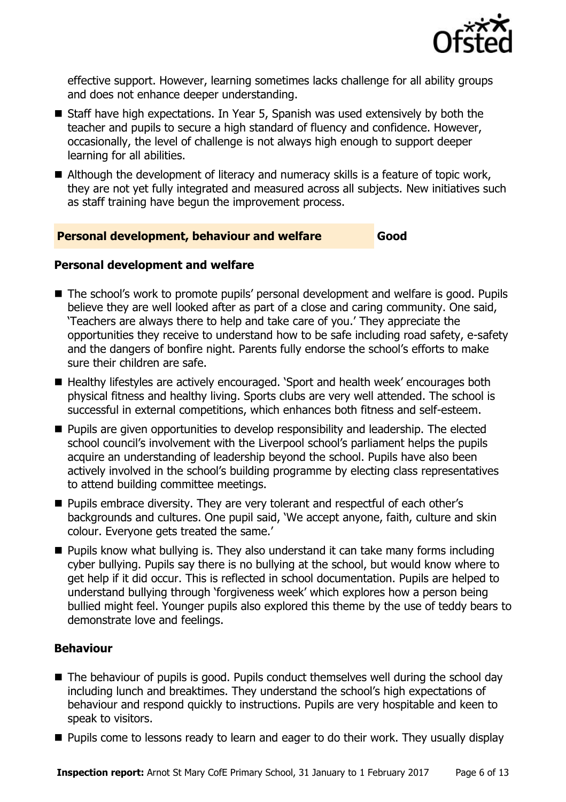

effective support. However, learning sometimes lacks challenge for all ability groups and does not enhance deeper understanding.

- Staff have high expectations. In Year 5, Spanish was used extensively by both the teacher and pupils to secure a high standard of fluency and confidence. However, occasionally, the level of challenge is not always high enough to support deeper learning for all abilities.
- Although the development of literacy and numeracy skills is a feature of topic work, they are not yet fully integrated and measured across all subjects. New initiatives such as staff training have begun the improvement process.

#### **Personal development, behaviour and welfare Good**

#### **Personal development and welfare**

- The school's work to promote pupils' personal development and welfare is good. Pupils believe they are well looked after as part of a close and caring community. One said, 'Teachers are always there to help and take care of you.' They appreciate the opportunities they receive to understand how to be safe including road safety, e-safety and the dangers of bonfire night. Parents fully endorse the school's efforts to make sure their children are safe.
- Healthy lifestyles are actively encouraged. 'Sport and health week' encourages both physical fitness and healthy living. Sports clubs are very well attended. The school is successful in external competitions, which enhances both fitness and self-esteem.
- **Pupils are given opportunities to develop responsibility and leadership. The elected** school council's involvement with the Liverpool school's parliament helps the pupils acquire an understanding of leadership beyond the school. Pupils have also been actively involved in the school's building programme by electing class representatives to attend building committee meetings.
- **Pupils embrace diversity. They are very tolerant and respectful of each other's** backgrounds and cultures. One pupil said, 'We accept anyone, faith, culture and skin colour. Everyone gets treated the same.'
- Pupils know what bullying is. They also understand it can take many forms including cyber bullying. Pupils say there is no bullying at the school, but would know where to get help if it did occur. This is reflected in school documentation. Pupils are helped to understand bullying through 'forgiveness week' which explores how a person being bullied might feel. Younger pupils also explored this theme by the use of teddy bears to demonstrate love and feelings.

#### **Behaviour**

- The behaviour of pupils is good. Pupils conduct themselves well during the school day including lunch and breaktimes. They understand the school's high expectations of behaviour and respond quickly to instructions. Pupils are very hospitable and keen to speak to visitors.
- **Pupils come to lessons ready to learn and eager to do their work. They usually display**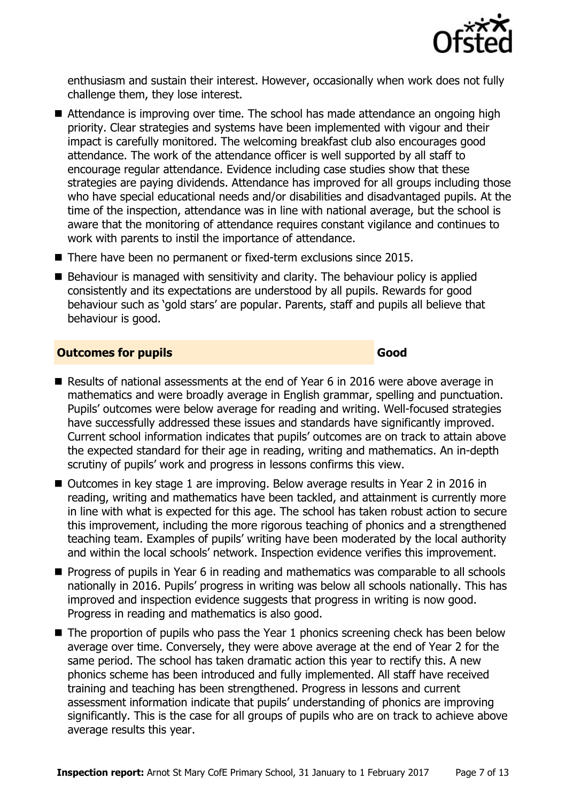

enthusiasm and sustain their interest. However, occasionally when work does not fully challenge them, they lose interest.

- Attendance is improving over time. The school has made attendance an ongoing high priority. Clear strategies and systems have been implemented with vigour and their impact is carefully monitored. The welcoming breakfast club also encourages good attendance. The work of the attendance officer is well supported by all staff to encourage regular attendance. Evidence including case studies show that these strategies are paying dividends. Attendance has improved for all groups including those who have special educational needs and/or disabilities and disadvantaged pupils. At the time of the inspection, attendance was in line with national average, but the school is aware that the monitoring of attendance requires constant vigilance and continues to work with parents to instil the importance of attendance.
- There have been no permanent or fixed-term exclusions since 2015.
- $\blacksquare$  Behaviour is managed with sensitivity and clarity. The behaviour policy is applied consistently and its expectations are understood by all pupils. Rewards for good behaviour such as 'gold stars' are popular. Parents, staff and pupils all believe that behaviour is good.

#### **Outcomes for pupils Good**

- Results of national assessments at the end of Year 6 in 2016 were above average in mathematics and were broadly average in English grammar, spelling and punctuation. Pupils' outcomes were below average for reading and writing. Well-focused strategies have successfully addressed these issues and standards have significantly improved. Current school information indicates that pupils' outcomes are on track to attain above the expected standard for their age in reading, writing and mathematics. An in-depth scrutiny of pupils' work and progress in lessons confirms this view.
- Outcomes in key stage 1 are improving. Below average results in Year 2 in 2016 in reading, writing and mathematics have been tackled, and attainment is currently more in line with what is expected for this age. The school has taken robust action to secure this improvement, including the more rigorous teaching of phonics and a strengthened teaching team. Examples of pupils' writing have been moderated by the local authority and within the local schools' network. Inspection evidence verifies this improvement.
- **Progress of pupils in Year 6 in reading and mathematics was comparable to all schools** nationally in 2016. Pupils' progress in writing was below all schools nationally. This has improved and inspection evidence suggests that progress in writing is now good. Progress in reading and mathematics is also good.
- The proportion of pupils who pass the Year 1 phonics screening check has been below average over time. Conversely, they were above average at the end of Year 2 for the same period. The school has taken dramatic action this year to rectify this. A new phonics scheme has been introduced and fully implemented. All staff have received training and teaching has been strengthened. Progress in lessons and current assessment information indicate that pupils' understanding of phonics are improving significantly. This is the case for all groups of pupils who are on track to achieve above average results this year.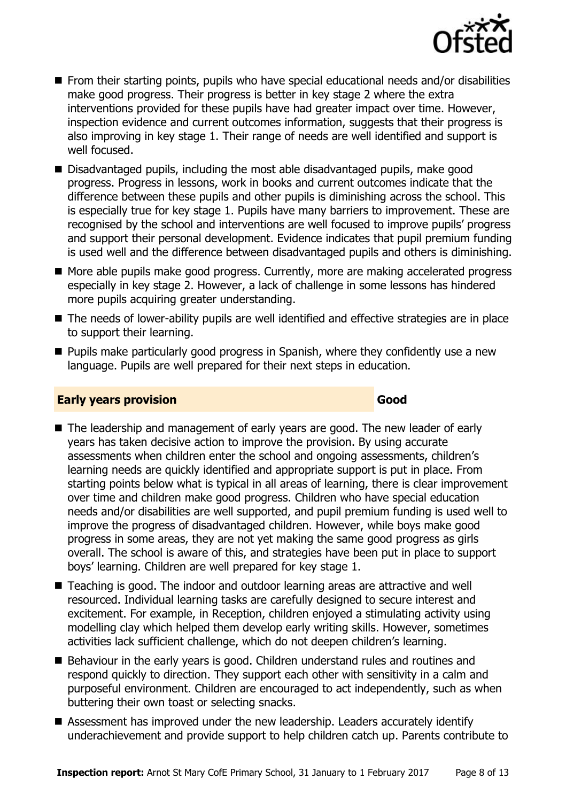

- From their starting points, pupils who have special educational needs and/or disabilities make good progress. Their progress is better in key stage 2 where the extra interventions provided for these pupils have had greater impact over time. However, inspection evidence and current outcomes information, suggests that their progress is also improving in key stage 1. Their range of needs are well identified and support is well focused.
- Disadvantaged pupils, including the most able disadvantaged pupils, make good progress. Progress in lessons, work in books and current outcomes indicate that the difference between these pupils and other pupils is diminishing across the school. This is especially true for key stage 1. Pupils have many barriers to improvement. These are recognised by the school and interventions are well focused to improve pupils' progress and support their personal development. Evidence indicates that pupil premium funding is used well and the difference between disadvantaged pupils and others is diminishing.
- More able pupils make good progress. Currently, more are making accelerated progress especially in key stage 2. However, a lack of challenge in some lessons has hindered more pupils acquiring greater understanding.
- The needs of lower-ability pupils are well identified and effective strategies are in place to support their learning.
- $\blacksquare$  Pupils make particularly good progress in Spanish, where they confidently use a new language. Pupils are well prepared for their next steps in education.

#### **Early years provision Good Good**

- The leadership and management of early years are good. The new leader of early years has taken decisive action to improve the provision. By using accurate assessments when children enter the school and ongoing assessments, children's learning needs are quickly identified and appropriate support is put in place. From starting points below what is typical in all areas of learning, there is clear improvement over time and children make good progress. Children who have special education needs and/or disabilities are well supported, and pupil premium funding is used well to improve the progress of disadvantaged children. However, while boys make good progress in some areas, they are not yet making the same good progress as girls overall. The school is aware of this, and strategies have been put in place to support boys' learning. Children are well prepared for key stage 1.
- Teaching is good. The indoor and outdoor learning areas are attractive and well resourced. Individual learning tasks are carefully designed to secure interest and excitement. For example, in Reception, children enjoyed a stimulating activity using modelling clay which helped them develop early writing skills. However, sometimes activities lack sufficient challenge, which do not deepen children's learning.
- Behaviour in the early years is good. Children understand rules and routines and respond quickly to direction. They support each other with sensitivity in a calm and purposeful environment. Children are encouraged to act independently, such as when buttering their own toast or selecting snacks.
- Assessment has improved under the new leadership. Leaders accurately identify underachievement and provide support to help children catch up. Parents contribute to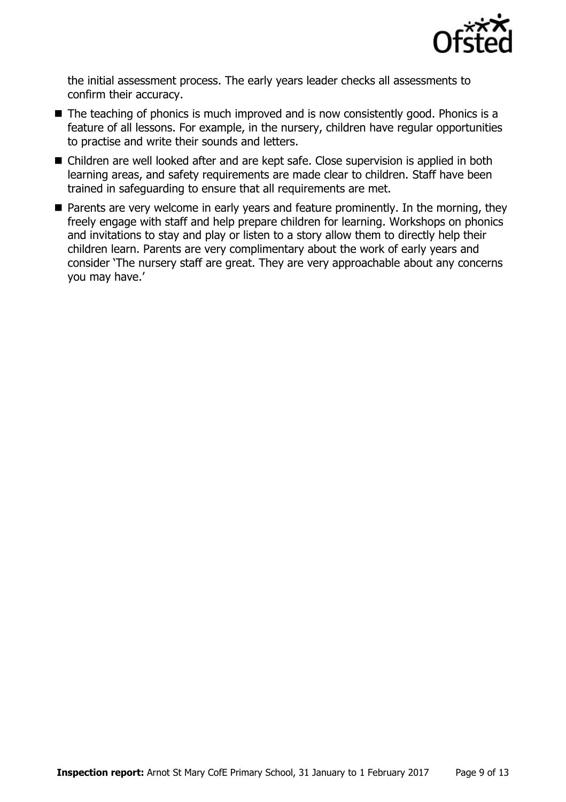

the initial assessment process. The early years leader checks all assessments to confirm their accuracy.

- The teaching of phonics is much improved and is now consistently good. Phonics is a feature of all lessons. For example, in the nursery, children have regular opportunities to practise and write their sounds and letters.
- Children are well looked after and are kept safe. Close supervision is applied in both learning areas, and safety requirements are made clear to children. Staff have been trained in safeguarding to ensure that all requirements are met.
- **Parents are very welcome in early years and feature prominently. In the morning, they** freely engage with staff and help prepare children for learning. Workshops on phonics and invitations to stay and play or listen to a story allow them to directly help their children learn. Parents are very complimentary about the work of early years and consider 'The nursery staff are great. They are very approachable about any concerns you may have.'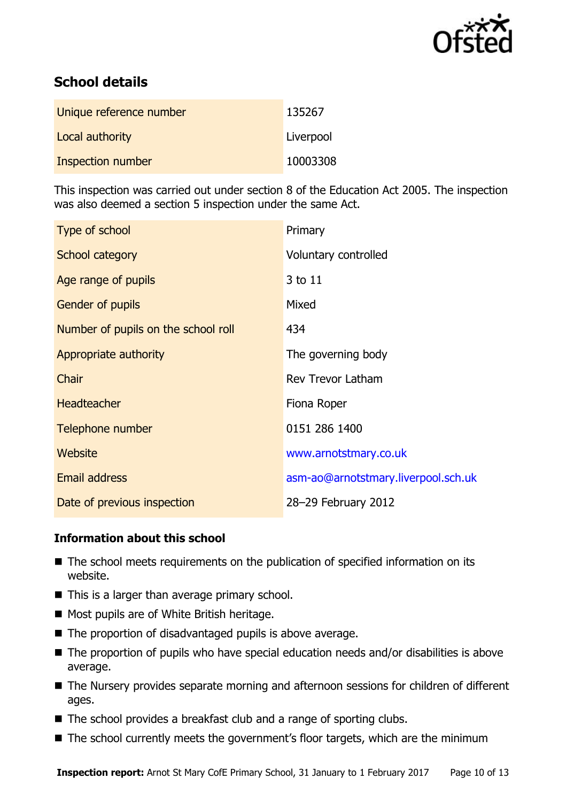

## **School details**

| Unique reference number | 135267    |
|-------------------------|-----------|
| Local authority         | Liverpool |
| Inspection number       | 10003308  |

This inspection was carried out under section 8 of the Education Act 2005. The inspection was also deemed a section 5 inspection under the same Act.

| Type of school                      | Primary                             |
|-------------------------------------|-------------------------------------|
| School category                     | Voluntary controlled                |
| Age range of pupils                 | 3 to 11                             |
| <b>Gender of pupils</b>             | Mixed                               |
| Number of pupils on the school roll | 434                                 |
| Appropriate authority               | The governing body                  |
| Chair                               | <b>Rev Trevor Latham</b>            |
| <b>Headteacher</b>                  | Fiona Roper                         |
| Telephone number                    | 0151 286 1400                       |
| Website                             | www.arnotstmary.co.uk               |
| Email address                       | asm-ao@arnotstmary.liverpool.sch.uk |
| Date of previous inspection         | 28-29 February 2012                 |

#### **Information about this school**

- The school meets requirements on the publication of specified information on its website.
- $\blacksquare$  This is a larger than average primary school.
- Most pupils are of White British heritage.
- The proportion of disadvantaged pupils is above average.
- The proportion of pupils who have special education needs and/or disabilities is above average.
- The Nursery provides separate morning and afternoon sessions for children of different ages.
- The school provides a breakfast club and a range of sporting clubs.
- The school currently meets the government's floor targets, which are the minimum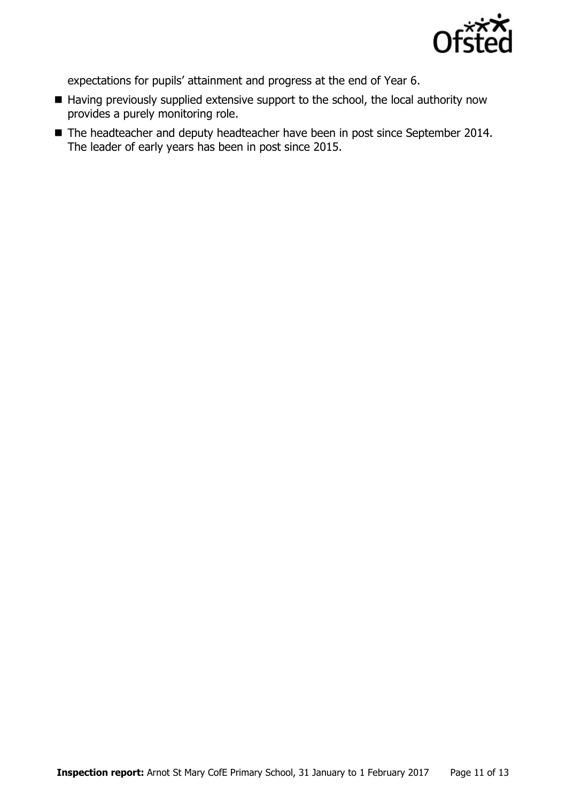

expectations for pupils' attainment and progress at the end of Year 6.

- Having previously supplied extensive support to the school, the local authority now provides a purely monitoring role.
- The headteacher and deputy headteacher have been in post since September 2014. The leader of early years has been in post since 2015.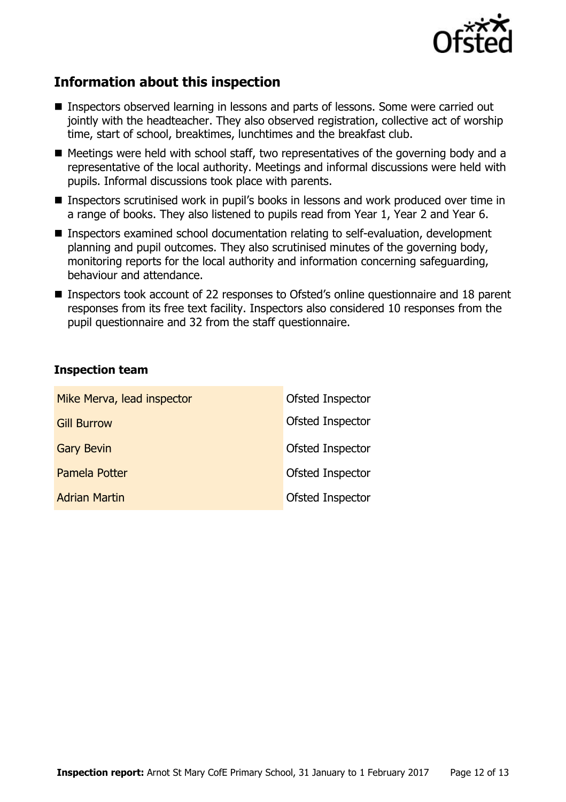

## **Information about this inspection**

- Inspectors observed learning in lessons and parts of lessons. Some were carried out jointly with the headteacher. They also observed registration, collective act of worship time, start of school, breaktimes, lunchtimes and the breakfast club.
- Meetings were held with school staff, two representatives of the governing body and a representative of the local authority. Meetings and informal discussions were held with pupils. Informal discussions took place with parents.
- Inspectors scrutinised work in pupil's books in lessons and work produced over time in a range of books. They also listened to pupils read from Year 1, Year 2 and Year 6.
- Inspectors examined school documentation relating to self-evaluation, development planning and pupil outcomes. They also scrutinised minutes of the governing body, monitoring reports for the local authority and information concerning safeguarding, behaviour and attendance.
- Inspectors took account of 22 responses to Ofsted's online questionnaire and 18 parent responses from its free text facility. Inspectors also considered 10 responses from the pupil questionnaire and 32 from the staff questionnaire.

#### **Inspection team**

| Mike Merva, lead inspector | Ofsted Inspector |
|----------------------------|------------------|
| <b>Gill Burrow</b>         | Ofsted Inspector |
| <b>Gary Bevin</b>          | Ofsted Inspector |
| <b>Pamela Potter</b>       | Ofsted Inspector |
| <b>Adrian Martin</b>       | Ofsted Inspector |